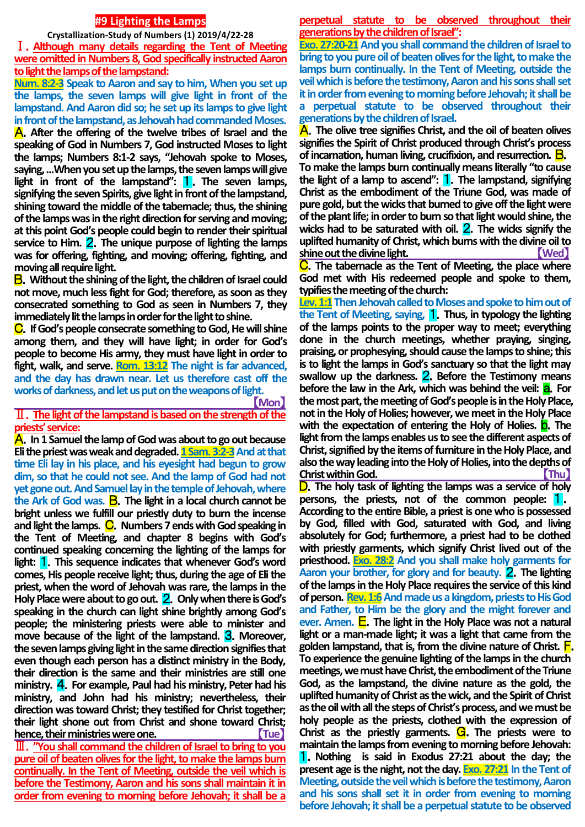## **#9 Lighting the Lamps**

**Crystallization-Study of Numbers (1) 2019/4/22-28**

Ⅰ.**Although many details regarding the Tent of Meeting were omitted in Numbers 8, God specifically instructed Aaron to light the lamps of the lampstand:** 

**Num. 8:2-3 Speak to Aaron and say to him, When you set up the lamps, the seven lamps will give light in front of the lampstand. And Aaron did so; he set up its lamps to give light in front of the lampstand, as Jehovah had commanded Moses.** A.**After the offering of the twelve tribes of Israel and the speaking of God in Numbers 7, God instructed Moses to light** 

**the lamps; Numbers 8:1-2 says, "Jehovah spoke to Moses, saying, ...When you set up the lamps, the seven lamps will give light in front of the lampstand":** 1.**The seven lamps, signifying the seven Spirits, give light in front of the lampstand, shining toward the middle of the tabernacle; thus, the shining of the lamps was in the right direction for serving and moving; at this point God's people could begin to render their spiritual service to Him.** 2.**The unique purpose of lighting the lamps was for offering, fighting, and moving; offering, fighting, and moving all require light.**

B.**Without the shining of the light, the children of Israel could not move, much less fight for God; therefore, as soon as they consecrated something to God as seen in Numbers 7, they immediately lit the lamps in order for the light to shine.**

C.**If God's people consecrate something to God, He will shine among them, and they will have light; in order for God's people to become His army, they must have light in order to fight, walk, and serve. Rom. 13:12 The night is far advanced, and the day has drawn near. Let us therefore cast off the**  works of darkness, and let us put on the weapons of light. 【**Mon**】

# Ⅱ.**The light of the lampstand is based on the strength of the priests' service:**

A.**In 1 Samuel the lamp of God was about to go out because Eli the priest was weak and degraded. 1 Sam. 3:2-3 And at that time Eli lay in his place, and his eyesight had begun to grow dim, so that he could not see. And the lamp of God had not yet gone out. And Samuel lay in the temple of Jehovah, where the Ark of God was.** B.**The light in a local church cannot be bright unless we fulfill our priestly duty to burn the incense**  and light the lamps. **C**. Numbers 7 ends with God speaking in **the Tent of Meeting, and chapter 8 begins with God's continued speaking concerning the lighting of the lamps for light:** 1.**This sequence indicates that whenever God's word comes, His people receive light; thus, during the age of Eli the priest, when the word of Jehovah was rare, the lamps in the Holy Place were about to go out.** 2.**Only when there is God's speaking in the church can light shine brightly among God's people; the ministering priests were able to minister and move because of the light of the lampstand.** 3.**Moreover, the seven lamps giving light in the same direction signifies that even though each person has a distinct ministry in the Body, their direction is the same and their ministries are still one ministry.** 4.**For example, Paul had his ministry, Peter had his ministry, and John had his ministry; nevertheless, their direction was toward Christ; they testified for Christ together; their light shone out from Christ and shone toward Christ; hence, their ministries were one.** Tue

Ⅲ.**"You shall command the children of Israel to bring to you pure oil of beaten olives for the light, to make the lamps burn continually. In the Tent of Meeting, outside the veil which is before the Testimony, Aaron and his sons shall maintain it in order from evening to morning before Jehovah; it shall be a** 

**perpetual statute to be observed throughout their generations by the children of Israel":**

**Exo. 27:20-21** And you shall command the children of Israel to **bring to you pure oil of beaten olives for the light, to make the lamps burn continually. In the Tent of Meeting, outside the veil which is before the testimony, Aaron and his sons shall set it in order from evening to morning before Jehovah; it shall be a perpetual statute to be observed throughout their generations by the children of Israel.** 

A.**The olive tree signifies Christ, and the oil of beaten olives signifies the Spirit of Christ produced through Christ's process of incarnation, human living, crucifixion, and resurrection.** B.

**To make the lamps burn continually means literally "to cause the light of a lamp to ascend":** 1.**The lampstand, signifying Christ as the embodiment of the Triune God, was made of pure gold, but the wicks that burned to give off the light were of the plant life; in order to burn so that light would shine, the wicks had to be saturated with oil.** 2.**The wicks signify the uplifted humanity of Christ, which burns with the divine oil to shine out the divine light.** 【**Wed**】

C.**The tabernacle as the Tent of Meeting, the place where God met with His redeemed people and spoke to them, typifies the meeting of the church:**

Lev. 1:1 Then Jehovah called to Moses and spoke to him out of **the Tent of Meeting, saying,** 1.**Thus, in typology the lighting of the lamps points to the proper way to meet; everything done in the church meetings, whether praying, singing, praising, or prophesying, should cause the lamps to shine; this is to light the lamps in God's sanctuary so that the light may swallow up the darkness.** 2.**Before the Testimony means before the law in the Ark, which was behind the veil: <b>a**. For **the most part, the meeting of God's people is in the Holy Place, not in the Holy of Holies; however, we meet in the Holy Place with the expectation of entering the Holy of Holies.** b.**The light from the lamps enables us to see the different aspects of Christ, signified by the items of furniture in the Holy Place, and also the way leading into the Holy of Holies, into the depths of Christ within God. Christ within God. All 2001** 

D.**The holy task of lighting the lamps was a service of holy persons, the priests, not of the common people:** 1. **According to the entire Bible, a priest is one who is possessed by God, filled with God, saturated with God, and living absolutely for God; furthermore, a priest had to be clothed with priestly garments, which signify Christ lived out of the priesthood. Exo. 28:2 And you shall make holy garments for Aaron your brother, for glory and for beauty.** 2.**The lighting of the lamps in the Holy Place requires the service of this kind of person. Rev. 1:6And made us a kingdom, priests to His God and Father, to Him be the glory and the might forever and ever. Amen.** E.**The light in the Holy Place was not a natural light or a man-made light; it was a light that came from the golden lampstand, that is, from the divine nature of Christ.** F. **To experience the genuine lighting of the lamps in the church meetings, we must have Christ, the embodiment of the Triune God, as the lampstand, the divine nature as the gold, the uplifted humanity of Christ as the wick, and the Spirit of Christ as the oil with all the steps of Christ's process, and we must be holy people as the priests, clothed with the expression of Christ as the priestly garments.** G.**The priests were to maintain the lamps from evening to morning before Jehovah:**  1.**Nothing is said in Exodus 27:21 about the day; the present age is the night, not the day. Exo. 27:21 In the Tent of Meeting, outside the veil which is before the testimony, Aaron and his sons shall set it in order from evening to morning before Jehovah; it shall be a perpetual statute to be observed**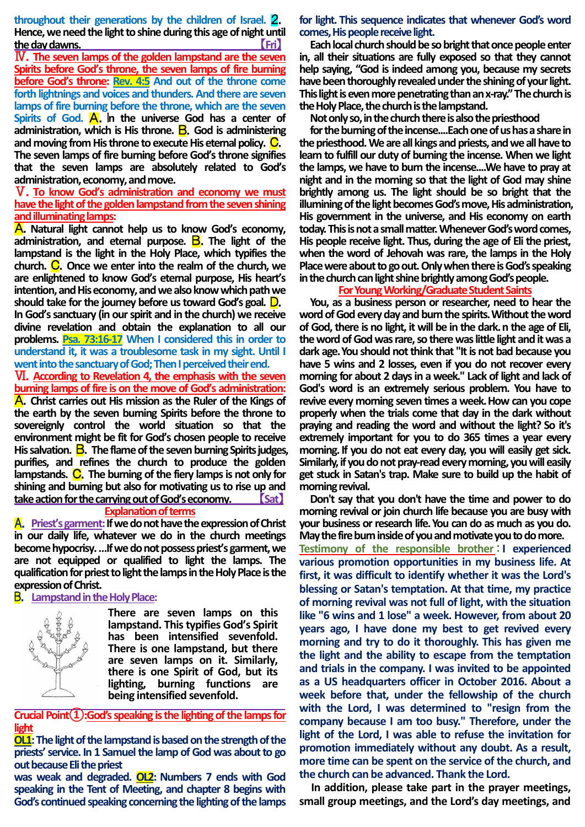**throughout their generations by the children of Israel.** 2. **Hence, we need the light to shine during this age of night until the day dawns.** 【**Fri**】

Ⅳ.**The seven lamps of the golden lampstand are the seven Spirits before God's throne, the seven lamps of fire burning before God's throne: Rev. 4:5 And out of the throne come forth lightnings and voices and thunders. And there are seven lamps of fire burning before the throne, which are the seven Spirits of God. A.** In the universe God has a center of **administration, which is His throne.** B.**God is administering and moving from His throne to execute His eternal policy.** C. **The seven lamps of fire burning before God's throne signifies that the seven lamps are absolutely related to God's administration, economy, and move.**

Ⅴ.**To know God's administration and economy we must have the light of the golden lampstand from the seven shining and illuminating lamps:** 

A.**Natural light cannot help us to know God's economy, administration, and eternal purpose.** B.**The light of the lampstand is the light in the Holy Place, which typifies the church.** C.**Once we enter into the realm of the church, we are enlightened to know God's eternal purpose, His heart's intention, and His economy, and we also know which path we should take for the journey before us toward God's goal.** D.

**In God's sanctuary (in our spirit and in the church) we receive divine revelation and obtain the explanation to all our problems. Psa. 73:16-17 When I considered this in order to understand it, it was a troublesome task in my sight. Until I went into the sanctuary of God; Then I perceived their end.**

Ⅵ.**According to Revelation 4, the emphasis with the seven burning lamps of fire is on the move of God's administration:** A.**Christ carries out His mission as the Ruler of the Kings of the earth by the seven burning Spirits before the throne to sovereignly control the world situation so that the environment might be fit for God's chosen people to receive His salvation.** B.**The flame of the seven burning Spirits judges, purifies, and refines the church to produce the golden**  lampstands. C. The burning of the fiery lamps is not only for **shining and burning but also for motivating us to rise up and take action for the carrying out of God's economy.** 【**Sat**】

## **Explanation of terms**

A.**Priest's garment:If we do not have the expression of Christ in our daily life, whatever we do in the church meetings become hypocrisy. …If we do not possess priest's garment, we are not equipped or qualified to light the lamps. The qualification for priest to light the lamps in the Holy Place is the expression of Christ.**

### B.**Lampstand in the Holy Place:**



**There are seven lamps on this lampstand. This typifies God's Spirit has been intensified sevenfold. There is one lampstand, but there are seven lamps on it. Similarly, there is one Spirit of God, but its lighting, burning functions are being intensified sevenfold.**

**Crucial Point(1):God's speaking is the lighting of the lamps for light**

**OL1: The light of the lampstand is based on the strength of the priests' service. In 1 Samuel the lamp of God was about to go out because Eli the priest**

**was weak and degraded. OL2: Numbers 7 ends with God speaking in the Tent of Meeting, and chapter 8 begins with God's continued speaking concerning the lighting of the lamps**  **for light. This sequence indicates that whenever God's word comes, His people receive light.**

**Each local church should be so bright that once people enter in, all their situations are fully exposed so that they cannot help saying, "God is indeed among you, because my secrets have been thoroughly revealed under the shining of your light. This light is even more penetrating than an x-ray." The church is the Holy Place, the church is the lampstand.**

**Not only so, in the church there is also the priesthood**

**for the burning of the incense....Eachone of us has a share in the priesthood. We are all kings and priests, and we all have to learn to fulfill our duty of burning the incense. When we light the lamps, we have to burn the incense....We have to pray at night and in the morning so that the light of God may shine brightly among us. The light should be so bright that the illumining of the light becomes God's move, His administration, His government in the universe, and His economy on earth today. This is not a small matter. Whenever God's word comes, His people receive light. Thus, during the age of Eli the priest, when the word of Jehovah was rare, the lamps in the Holy Place were about to go out. Only when there is God's speaking in the church can light shine brightly among God's people.**

### **For Young Working/Graduate Student Saints**

**You, as a business person or researcher, need to hear the word of God every day and burn the spirits.Without the word of God, there is no light, it will be in the dark.n the age of Eli, the word of God was rare, so there was little light and it was a dark age.You should not think that "It is not bad because you have 5 wins and 2 losses, even if you do not recover every morning for about 2 days in a week." Lack of light and lack of God's word is an extremely serious problem. You have to revive every morning seven times a week.How can you cope properly when the trials come that day in the dark without praying and reading the word and without the light? So it's extremely important for you to do 365 times a year every morning.If you do not eat every day, you will easily get sick. Similarly, if you do not pray-read every morning, you will easily get stuck in Satan's trap. Make sure to build up the habit of morning revival.**

**Don't say that you don't have the time and power to do morning revival or join church life because you are busy with your business or research life.You can do as much as you do. May the fire burn inside of you and motivate you to do more. Testimony of the responsible brother**:**I experienced various promotion opportunities in my business life. At first, it was difficult to identify whether it was the Lord's blessing or Satan's temptation. At that time, my practice of morning revival was not full of light, with the situation like "6 wins and 1 lose" a week. However, from about 20 years ago, I have done my best to get revived every morning and try to do it thoroughly. This has given me the light and the ability to escape from the temptation and trials in the company. I was invited to be appointed as a US headquarters officer in October 2016. About a week before that, under the fellowship of the church with the Lord, I was determined to "resign from the company because I am too busy." Therefore, under the light of the Lord, I was able to refuse the invitation for promotion immediately without any doubt. As a result, more time can be spent on the service of the church, and the church can be advanced. Thank the Lord.**

**In addition, please take part in the prayer meetings, small group meetings, and the Lord's day meetings, and**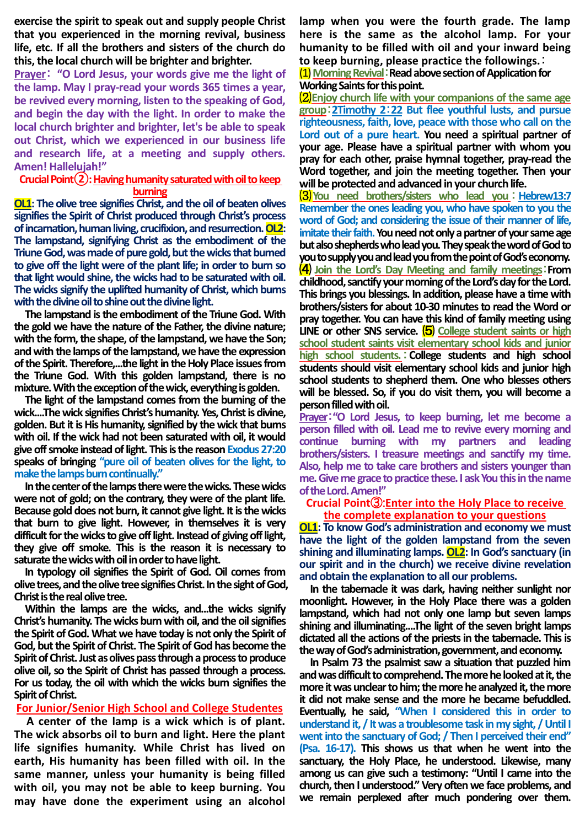**exercise the spirit to speak out and supply people Christ that you experienced in the morning revival, business life, etc. If all the brothers and sisters of the church do this, the local church will be brighter and brighter.**

**Prayer**: **"O Lord Jesus, your words give me the light of the lamp. May I pray-read your words 365 times a year, be revived every morning, listen to the speaking of God, and begin the day with the light. In order to make the local church brighter and brighter, let's be able to speak out Christ, which we experienced in our business life and research life, at a meeting and supply others. Amen! Hallelujah!"**

## **Crucial Point②: Having humanity saturated with oil to keep burning**

**OL1: The olive tree signifies Christ, and the oil of beaten olives signifies the Spirit of Christ produced through Christ's process of incarnation, human living, crucifixion, and resurrection. OL2: The lampstand, signifying Christ as the embodiment of the Triune God, was made of pure gold, but the wicks that burned to give off the light were of the plant life; in order to burn so that light would shine, the wicks had to be saturated with oil. The wicks signify the uplifted humanity of Christ, which burns with the divine oil to shine out the divine light.**

**The lampstand is the embodiment of the Triune God. With the gold we have the nature of the Father, the divine nature; with the form, the shape, of the lampstand, we have the Son; and with the lamps of the lampstand, we have the expression of the Spirit. Therefore,...the light in the Holy Place issues from the Triune God. With this golden lampstand, there is no mixture. With the exception of the wick, everything is golden.**

**The light of the lampstand comes from the burning of the wick....The wick signifies Christ's humanity. Yes, Christis divine, golden. But it is His humanity, signified by the wick that burns with oil. If the wick had not been saturated with oil, it would give off smoke instead of light. This is the reason Exodus 27:20 speaks of bringing "pure oil of beaten olives for the light, to make the lamps burn continually."**

**In the center of the lamps there were the wicks. These wicks were not of gold; on the contrary, they were of the plant life. Because gold does not burn, it cannot give light. It is the wicks that burn to give light. However, in themselves it is very difficult for the wicks to give off light. Instead of giving off light, they give off smoke. This is the reason it is necessary to saturate the wicks with oil in order to have light.**

**In typology oil signifies the Spirit of God. Oil comes from olive trees, and the olive tree signifies Christ. In the sight of God, Christ is the real olive tree.** 

**Within the lamps are the wicks, and...the wicks signify Christ's humanity. The wicks burn with oil, and the oil signifies the Spirit of God. What we have today is not only the Spirit of God, but the Spirit of Christ. The Spirit of God has become the Spirit of Christ. Just as olives pass through a process to produce olive oil, so the Spirit of Christ has passed through a process. For us today, the oil with which the wicks burn signifies the Spirit of Christ.**

**For Junior/Senior High School and College Studentes**

**A center of the lamp is a wick which is of plant. The wick absorbs oil to burn and light. Here the plant life signifies humanity. While Christ has lived on earth, His humanity has been filled with oil. In the same manner, unless your humanity is being filled with oil, you may not be able to keep burning. You may have done the experiment using an alcohol** 

**lamp when you were the fourth grade. The lamp here is the same as the alcohol lamp. For your humanity to be filled with oil and your inward being to keep burning, please practice the followings.**:

(1)**Morning Revival**:**Read above section of Application for Working Saints for this point.**

⑵**Enjoy church life with your companions of the same age group**:**2Timothy 2**:**22 But flee youthful lusts, and pursue righteousness, faith, love, peace with those who call on the Lord out of a pure heart. You need a spiritual partner of your age. Please have a spiritual partner with whom you pray for each other, praise hymnal together, pray-read the Word together, and join the meeting together. Then your will be protected and advanced in your church life.**

⑶**You need brothers/sisters who lead you** :**Hebrew13:7 Remember the ones leading you, who have spoken to you the word of God; and considering the issue of their manner of life, imitate their faith. You need not only a partner of your same age but also shepherds who lead you. They speak the word of God to you to supply you and lead you from the point of God's economy.** ⑷ **Join the Lord's Day Meeting and family meetings**:**From childhood, sanctify your morning of the Lord's day for the Lord. This brings you blessings. In addition, please have a time with brothers/sisters for about 10-30 minutes to read the Word or pray together. You can have this kind of family meeting using**  LINE or other SNS service. (5) College student saints or high **school student saints visit elementary school kids and junior high school students.**:**College students and high school students should visit elementary school kids and junior high school students to shepherd them. One who blesses others will be blessed. So, if you do visit them, you will become a person filled with oil.**

**Prayer**:**"O Lord Jesus, to keep burning, let me become a person filled with oil. Lead me to revive every morning and continue burning with my partners and leading brothers/sisters. I treasure meetings and sanctify my time. Also, help me to take care brothers and sisters younger than me. Give me grace to practice these. I ask You this in the name of the Lord. Amen!"**

## **Crucial Point**③:**Enter into the Holy Place to receive the complete explanation to your questions**

**OL1: To know God's administration and economy we must have the light of the golden lampstand from the seven shining and illuminating lamps. OL2: In God's sanctuary (in our spirit and in the church) we receive divine revelation and obtain the explanation to all our problems.**

**In the tabernacle it was dark, having neither sunlight nor moonlight. However, in the Holy Place there was a golden lampstand, which had not only one lamp but seven lamps shining and illuminating....The light of the seven bright lamps dictated all the actions of the priests in the tabernacle. This is the way of God's administration, government, and economy.**

**In Psalm 73 the psalmist saw a situation that puzzled him and was difficult to comprehend. The more he looked at it, the more it was unclear to him; the more he analyzed it, the more it did not make sense and the more he became befuddled. Eventually, he said, "When I considered this in order to understand it, / It was a troublesome task in my sight, / Until I went into the sanctuary of God; / Then I perceived their end" (Psa. 16-17). This shows us that when he went into the sanctuary, the Holy Place, he understood. Likewise, many among us can give such a testimony: "Until I came into the church, then I understood." Very often we face problems, and we remain perplexed after much pondering over them.**